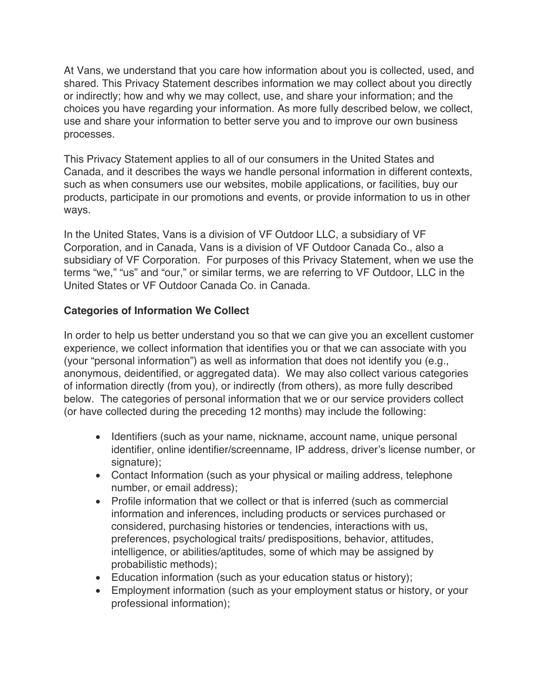At Vans, we understand that you care how information about you is collected, used, and shared. This Privacy Statement describes information we may collect about you directly or indirectly; how and why we may collect, use, and share your information; and the choices you have regarding your information. As more fully described below, we collect, use and share your information to better serve you and to improve our own business processes.

This Privacy Statement applies to all of our consumers in the United States and Canada, and it describes the ways we handle personal information in different contexts, such as when consumers use our websites, mobile applications, or facilities, buy our products, participate in our promotions and events, or provide information to us in other ways.

In the United States, Vans is a division of VF Outdoor LLC, a subsidiary of VF Corporation, and in Canada, Vans is a division of VF Outdoor Canada Co., also a subsidiary of VF Corporation. For purposes of this Privacy Statement, when we use the terms "we," "us" and "our," or similar terms, we are referring to VF Outdoor, LLC in the United States or VF Outdoor Canada Co. in Canada.

### **Categories of Information We Collect**

In order to help us better understand you so that we can give you an excellent customer experience, we collect information that identifies you or that we can associate with you (your "personal information") as well as information that does not identify you (e.g., anonymous, deidentified, or aggregated data). We may also collect various categories of information directly (from you), or indirectly (from others), as more fully described below. The categories of personal information that we or our service providers collect (or have collected during the preceding 12 months) may include the following:

- Identifiers (such as your name, nickname, account name, unique personal identifier, online identifier/screenname, IP address, driver's license number, or signature);
- Contact Information (such as your physical or mailing address, telephone number, or email address);
- Profile information that we collect or that is inferred (such as commercial information and inferences, including products or services purchased or considered, purchasing histories or tendencies, interactions with us, preferences, psychological traits/ predispositions, behavior, attitudes, intelligence, or abilities/aptitudes, some of which may be assigned by probabilistic methods);
- Education information (such as your education status or history);
- Employment information (such as your employment status or history, or your professional information);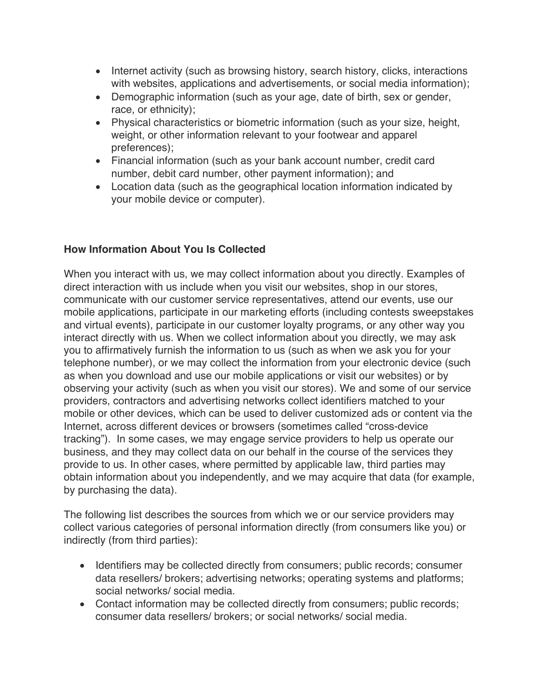- Internet activity (such as browsing history, search history, clicks, interactions with websites, applications and advertisements, or social media information);
- Demographic information (such as your age, date of birth, sex or gender, race, or ethnicity);
- Physical characteristics or biometric information (such as your size, height, weight, or other information relevant to your footwear and apparel preferences);
- Financial information (such as your bank account number, credit card number, debit card number, other payment information); and
- Location data (such as the geographical location information indicated by your mobile device or computer).

### **How Information About You Is Collected**

When you interact with us, we may collect information about you directly. Examples of direct interaction with us include when you visit our websites, shop in our stores, communicate with our customer service representatives, attend our events, use our mobile applications, participate in our marketing efforts (including contests sweepstakes and virtual events), participate in our customer loyalty programs, or any other way you interact directly with us. When we collect information about you directly, we may ask you to affirmatively furnish the information to us (such as when we ask you for your telephone number), or we may collect the information from your electronic device (such as when you download and use our mobile applications or visit our websites) or by observing your activity (such as when you visit our stores). We and some of our service providers, contractors and advertising networks collect identifiers matched to your mobile or other devices, which can be used to deliver customized ads or content via the Internet, across different devices or browsers (sometimes called "cross-device tracking"). In some cases, we may engage service providers to help us operate our business, and they may collect data on our behalf in the course of the services they provide to us. In other cases, where permitted by applicable law, third parties may obtain information about you independently, and we may acquire that data (for example, by purchasing the data).

The following list describes the sources from which we or our service providers may collect various categories of personal information directly (from consumers like you) or indirectly (from third parties):

- Identifiers may be collected directly from consumers; public records; consumer data resellers/ brokers; advertising networks; operating systems and platforms; social networks/ social media.
- Contact information may be collected directly from consumers; public records; consumer data resellers/ brokers; or social networks/ social media.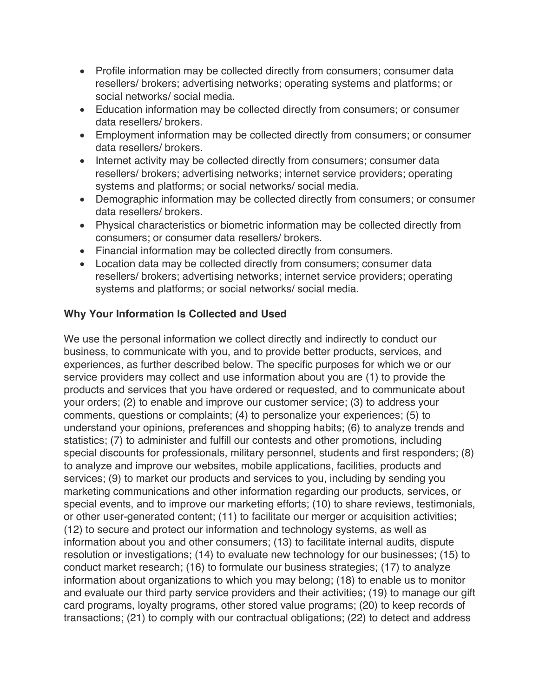- Profile information may be collected directly from consumers; consumer data resellers/ brokers; advertising networks; operating systems and platforms; or social networks/ social media.
- Education information may be collected directly from consumers; or consumer data resellers/ brokers.
- Employment information may be collected directly from consumers; or consumer data resellers/ brokers.
- Internet activity may be collected directly from consumers; consumer data resellers/ brokers; advertising networks; internet service providers; operating systems and platforms; or social networks/ social media.
- Demographic information may be collected directly from consumers; or consumer data resellers/ brokers.
- Physical characteristics or biometric information may be collected directly from consumers; or consumer data resellers/ brokers.
- Financial information may be collected directly from consumers.
- Location data may be collected directly from consumers; consumer data resellers/ brokers; advertising networks; internet service providers; operating systems and platforms; or social networks/ social media.

### **Why Your Information Is Collected and Used**

We use the personal information we collect directly and indirectly to conduct our business, to communicate with you, and to provide better products, services, and experiences, as further described below. The specific purposes for which we or our service providers may collect and use information about you are (1) to provide the products and services that you have ordered or requested, and to communicate about your orders; (2) to enable and improve our customer service; (3) to address your comments, questions or complaints; (4) to personalize your experiences; (5) to understand your opinions, preferences and shopping habits; (6) to analyze trends and statistics; (7) to administer and fulfill our contests and other promotions, including special discounts for professionals, military personnel, students and first responders; (8) to analyze and improve our websites, mobile applications, facilities, products and services; (9) to market our products and services to you, including by sending you marketing communications and other information regarding our products, services, or special events, and to improve our marketing efforts; (10) to share reviews, testimonials, or other user-generated content; (11) to facilitate our merger or acquisition activities; (12) to secure and protect our information and technology systems, as well as information about you and other consumers; (13) to facilitate internal audits, dispute resolution or investigations; (14) to evaluate new technology for our businesses; (15) to conduct market research; (16) to formulate our business strategies; (17) to analyze information about organizations to which you may belong; (18) to enable us to monitor and evaluate our third party service providers and their activities; (19) to manage our gift card programs, loyalty programs, other stored value programs; (20) to keep records of transactions; (21) to comply with our contractual obligations; (22) to detect and address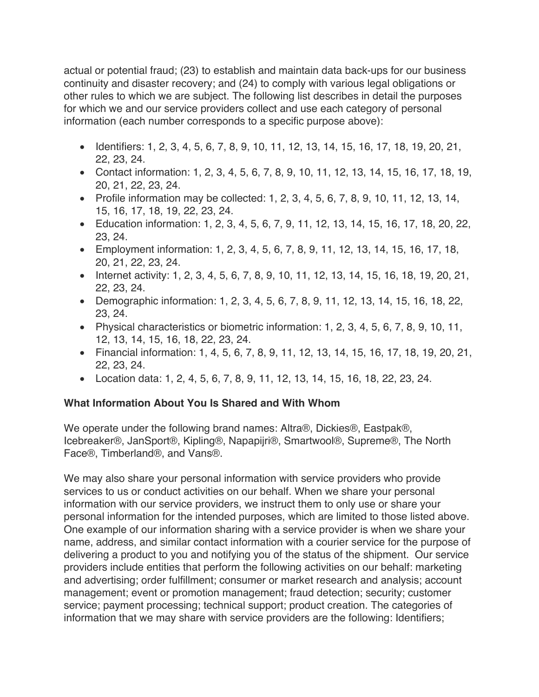actual or potential fraud; (23) to establish and maintain data back-ups for our business continuity and disaster recovery; and (24) to comply with various legal obligations or other rules to which we are subject. The following list describes in detail the purposes for which we and our service providers collect and use each category of personal information (each number corresponds to a specific purpose above):

- Identifiers: 1, 2, 3, 4, 5, 6, 7, 8, 9, 10, 11, 12, 13, 14, 15, 16, 17, 18, 19, 20, 21, 22, 23, 24.
- Contact information: 1, 2, 3, 4, 5, 6, 7, 8, 9, 10, 11, 12, 13, 14, 15, 16, 17, 18, 19, 20, 21, 22, 23, 24.
- Profile information may be collected: 1, 2, 3, 4, 5, 6, 7, 8, 9, 10, 11, 12, 13, 14, 15, 16, 17, 18, 19, 22, 23, 24.
- Education information: 1, 2, 3, 4, 5, 6, 7, 9, 11, 12, 13, 14, 15, 16, 17, 18, 20, 22, 23, 24.
- Employment information: 1, 2, 3, 4, 5, 6, 7, 8, 9, 11, 12, 13, 14, 15, 16, 17, 18, 20, 21, 22, 23, 24.
- Internet activity: 1, 2, 3, 4, 5, 6, 7, 8, 9, 10, 11, 12, 13, 14, 15, 16, 18, 19, 20, 21, 22, 23, 24.
- Demographic information: 1, 2, 3, 4, 5, 6, 7, 8, 9, 11, 12, 13, 14, 15, 16, 18, 22, 23, 24.
- Physical characteristics or biometric information: 1, 2, 3, 4, 5, 6, 7, 8, 9, 10, 11, 12, 13, 14, 15, 16, 18, 22, 23, 24.
- Financial information: 1, 4, 5, 6, 7, 8, 9, 11, 12, 13, 14, 15, 16, 17, 18, 19, 20, 21, 22, 23, 24.
- Location data: 1, 2, 4, 5, 6, 7, 8, 9, 11, 12, 13, 14, 15, 16, 18, 22, 23, 24.

# **What Information About You Is Shared and With Whom**

We operate under the following brand names: Altra®, Dickies®, Eastpak®, Icebreaker®, JanSport®, Kipling®, Napapijri®, Smartwool®, Supreme®, The North Face®, Timberland®, and Vans®.

We may also share your personal information with service providers who provide services to us or conduct activities on our behalf. When we share your personal information with our service providers, we instruct them to only use or share your personal information for the intended purposes, which are limited to those listed above. One example of our information sharing with a service provider is when we share your name, address, and similar contact information with a courier service for the purpose of delivering a product to you and notifying you of the status of the shipment. Our service providers include entities that perform the following activities on our behalf: marketing and advertising; order fulfillment; consumer or market research and analysis; account management; event or promotion management; fraud detection; security; customer service; payment processing; technical support; product creation. The categories of information that we may share with service providers are the following: Identifiers;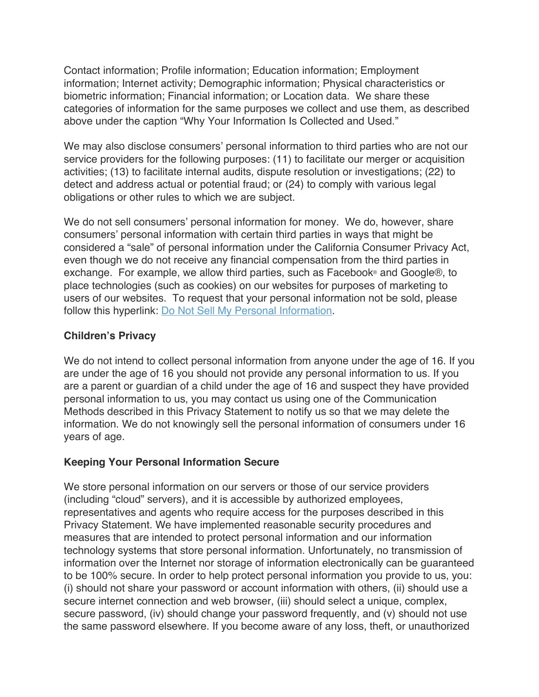Contact information; Profile information; Education information; Employment information; Internet activity; Demographic information; Physical characteristics or biometric information; Financial information; or Location data. We share these categories of information for the same purposes we collect and use them, as described above under the caption "Why Your Information Is Collected and Used."

We may also disclose consumers' personal information to third parties who are not our service providers for the following purposes: (11) to facilitate our merger or acquisition activities; (13) to facilitate internal audits, dispute resolution or investigations; (22) to detect and address actual or potential fraud; or (24) to comply with various legal obligations or other rules to which we are subject.

We do not sell consumers' personal information for money. We do, however, share consumers' personal information with certain third parties in ways that might be considered a "sale" of personal information under the California Consumer Privacy Act, even though we do not receive any financial compensation from the third parties in exchange. For example, we allow third parties, such as Facebook® and Google®, to place technologies (such as cookies) on our websites for purposes of marketing to users of our websites. To request that your personal information not be sold, please follow this hyperlink: Do Not Sell My Personal Information.

### **Children's Privacy**

We do not intend to collect personal information from anyone under the age of 16. If you are under the age of 16 you should not provide any personal information to us. If you are a parent or guardian of a child under the age of 16 and suspect they have provided personal information to us, you may contact us using one of the Communication Methods described in this Privacy Statement to notify us so that we may delete the information. We do not knowingly sell the personal information of consumers under 16 years of age.

# **Keeping Your Personal Information Secure**

We store personal information on our servers or those of our service providers (including "cloud" servers), and it is accessible by authorized employees, representatives and agents who require access for the purposes described in this Privacy Statement. We have implemented reasonable security procedures and measures that are intended to protect personal information and our information technology systems that store personal information. Unfortunately, no transmission of information over the Internet nor storage of information electronically can be guaranteed to be 100% secure. In order to help protect personal information you provide to us, you: (i) should not share your password or account information with others, (ii) should use a secure internet connection and web browser, (iii) should select a unique, complex, secure password, (iv) should change your password frequently, and (v) should not use the same password elsewhere. If you become aware of any loss, theft, or unauthorized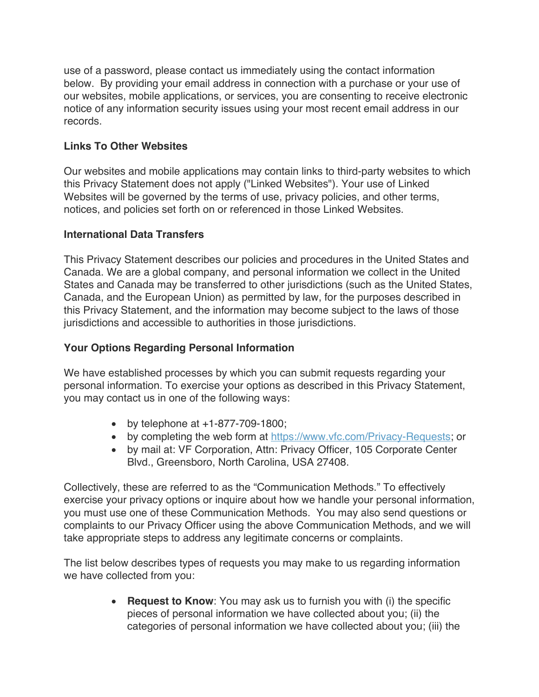use of a password, please contact us immediately using the contact information below. By providing your email address in connection with a purchase or your use of our websites, mobile applications, or services, you are consenting to receive electronic notice of any information security issues using your most recent email address in our records.

### **Links To Other Websites**

Our websites and mobile applications may contain links to third-party websites to which this Privacy Statement does not apply ("Linked Websites"). Your use of Linked Websites will be governed by the terms of use, privacy policies, and other terms, notices, and policies set forth on or referenced in those Linked Websites.

### **International Data Transfers**

This Privacy Statement describes our policies and procedures in the United States and Canada. We are a global company, and personal information we collect in the United States and Canada may be transferred to other jurisdictions (such as the United States, Canada, and the European Union) as permitted by law, for the purposes described in this Privacy Statement, and the information may become subject to the laws of those jurisdictions and accessible to authorities in those jurisdictions.

# **Your Options Regarding Personal Information**

We have established processes by which you can submit requests regarding your personal information. To exercise your options as described in this Privacy Statement, you may contact us in one of the following ways:

- by telephone at  $+1-877-709-1800$ ;
- by completing the web form at https://www.vfc.com/Privacy-Requests; or
- by mail at: VF Corporation, Attn: Privacy Officer, 105 Corporate Center Blvd., Greensboro, North Carolina, USA 27408.

Collectively, these are referred to as the "Communication Methods." To effectively exercise your privacy options or inquire about how we handle your personal information, you must use one of these Communication Methods. You may also send questions or complaints to our Privacy Officer using the above Communication Methods, and we will take appropriate steps to address any legitimate concerns or complaints.

The list below describes types of requests you may make to us regarding information we have collected from you:

> • **Request to Know**: You may ask us to furnish you with (i) the specific pieces of personal information we have collected about you; (ii) the categories of personal information we have collected about you; (iii) the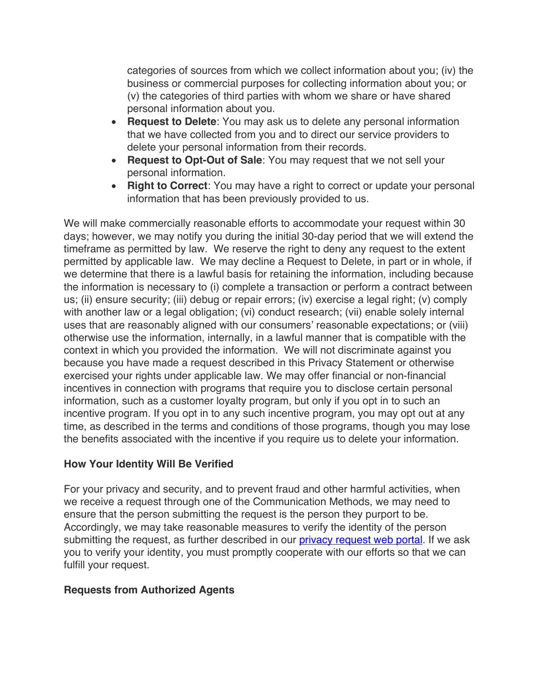categories of sources from which we collect information about you; (iv) the business or commercial purposes for collecting information about you; or (v) the categories of third parties with whom we share or have shared personal information about you.

- **Request to Delete**: You may ask us to delete any personal information that we have collected from you and to direct our service providers to delete your personal information from their records.
- **Request to Opt-Out of Sale**: You may request that we not sell your personal information.
- **Right to Correct**: You may have a right to correct or update your personal information that has been previously provided to us.

We will make commercially reasonable efforts to accommodate your request within 30 days; however, we may notify you during the initial 30-day period that we will extend the timeframe as permitted by law. We reserve the right to deny any request to the extent permitted by applicable law. We may decline a Request to Delete, in part or in whole, if we determine that there is a lawful basis for retaining the information, including because the information is necessary to (i) complete a transaction or perform a contract between us; (ii) ensure security; (iii) debug or repair errors; (iv) exercise a legal right; (v) comply with another law or a legal obligation; (vi) conduct research; (vii) enable solely internal uses that are reasonably aligned with our consumers' reasonable expectations; or (viii) otherwise use the information, internally, in a lawful manner that is compatible with the context in which you provided the information. We will not discriminate against you because you have made a request described in this Privacy Statement or otherwise exercised your rights under applicable law. We may offer financial or non-financial incentives in connection with programs that require you to disclose certain personal information, such as a customer loyalty program, but only if you opt in to such an incentive program. If you opt in to any such incentive program, you may opt out at any time, as described in the terms and conditions of those programs, though you may lose the benefits associated with the incentive if you require us to delete your information.

### **How Your Identity Will Be Verified**

For your privacy and security, and to prevent fraud and other harmful activities, when we receive a request through one of the Communication Methods, we may need to ensure that the person submitting the request is the person they purport to be. Accordingly, we may take reasonable measures to verify the identity of the person submitting the request, as further described in our *privacy request web portal*. If we ask you to verify your identity, you must promptly cooperate with our efforts so that we can fulfill your request.

# **Requests from Authorized Agents**